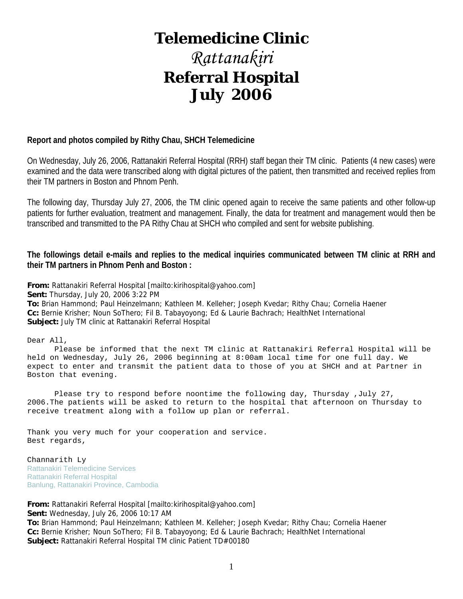# **Telemedicine Clinic**

# *Rattanakiri*  **Referral Hospital July 2006**

#### **Report and photos compiled by Rithy Chau, SHCH Telemedicine**

On Wednesday, July 26, 2006, Rattanakiri Referral Hospital (RRH) staff began their TM clinic. Patients (4 new cases) were examined and the data were transcribed along with digital pictures of the patient, then transmitted and received replies from their TM partners in Boston and Phnom Penh.

The following day, Thursday July 27, 2006, the TM clinic opened again to receive the same patients and other follow-up patients for further evaluation, treatment and management. Finally, the data for treatment and management would then be transcribed and transmitted to the PA Rithy Chau at SHCH who compiled and sent for website publishing.

**The followings detail e-mails and replies to the medical inquiries communicated between TM clinic at RRH and their TM partners in Phnom Penh and Boston :** 

**From:** Rattanakiri Referral Hospital [mailto:kirihospital@yahoo.com] **Sent:** Thursday, July 20, 2006 3:22 PM **To:** Brian Hammond; Paul Heinzelmann; Kathleen M. Kelleher; Joseph Kvedar; Rithy Chau; Cornelia Haener **Cc:** Bernie Krisher; Noun SoThero; Fil B. Tabayoyong; Ed & Laurie Bachrach; HealthNet International **Subject:** July TM clinic at Rattanakiri Referral Hospital

Dear All,

 Please be informed that the next TM clinic at Rattanakiri Referral Hospital will be held on Wednesday, July 26, 2006 beginning at 8:00am local time for one full day. We expect to enter and transmit the patient data to those of you at SHCH and at Partner in Boston that evening.

 Please try to respond before noontime the following day, Thursday ,July 27, 2006.The patients will be asked to return to the hospital that afternoon on Thursday to receive treatment along with a follow up plan or referral.

Thank you very much for your cooperation and service. Best regards,

Channarith Ly Rattanakiri Telemedicine Services Rattanakiri Referral Hospital Banlung, Rattanakiri Province, Cambodia

**From:** Rattanakiri Referral Hospital [mailto:kirihospital@yahoo.com] **Sent:** Wednesday, July 26, 2006 10:17 AM **To:** Brian Hammond; Paul Heinzelmann; Kathleen M. Kelleher; Joseph Kvedar; Rithy Chau; Cornelia Haener **Cc:** Bernie Krisher; Noun SoThero; Fil B. Tabayoyong; Ed & Laurie Bachrach; HealthNet International **Subject:** Rattanakiri Referral Hospital TM clinic Patient TD#00180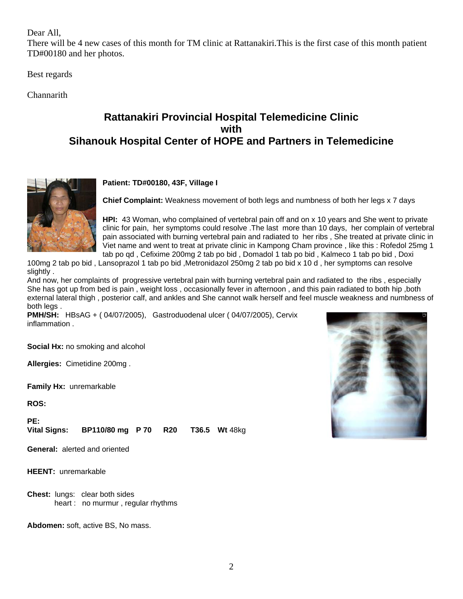Dear All,

There will be 4 new cases of this month for TM clinic at Rattanakiri.This is the first case of this month patient TD#00180 and her photos.

Best regards

**Channarith** 

## **Rattanakiri Provincial Hospital Telemedicine Clinic with Sihanouk Hospital Center of HOPE and Partners in Telemedicine**



#### **Patient: TD#00180, 43F, Village I**

**Chief Complaint:** Weakness movement of both legs and numbness of both her legs x 7 days

**HPI:** 43 Woman, who complained of vertebral pain off and on x 10 years and She went to private clinic for pain, her symptoms could resolve .The last more than 10 days, her complain of vertebral pain associated with burning vertebral pain and radiated to her ribs , She treated at private clinic in Viet name and went to treat at private clinic in Kampong Cham province , like this : Rofedol 25mg 1 tab po qd , Cefixime 200mg 2 tab po bid , Domadol 1 tab po bid , Kalmeco 1 tab po bid , Doxi

100mg 2 tab po bid , Lansoprazol 1 tab po bid ,Metronidazol 250mg 2 tab po bid x 10 d , her symptoms can resolve slightly .

And now, her complaints of progressive vertebral pain with burning vertebral pain and radiated to the ribs , especially She has got up from bed is pain , weight loss , occasionally fever in afternoon , and this pain radiated to both hip ,both external lateral thigh , posterior calf, and ankles and She cannot walk herself and feel muscle weakness and numbness of both leas.

**PMH/SH:** HBsAG + ( 04/07/2005), Gastroduodenal ulcer ( 04/07/2005), Cervix inflammation .

**Social Hx:** no smoking and alcohol

**Allergies:** Cimetidine 200mg .

**Family Hx:** unremarkable

**ROS:**

**PE: Vital Signs: BP110/80 mg P 70 R20 T36.5 Wt** 48kg

**General:** alerted and oriented

**HEENT:** unremarkable

**Chest:** lungs: clear both sides heart : no murmur , regular rhythms

**Abdomen:** soft, active BS, No mass.

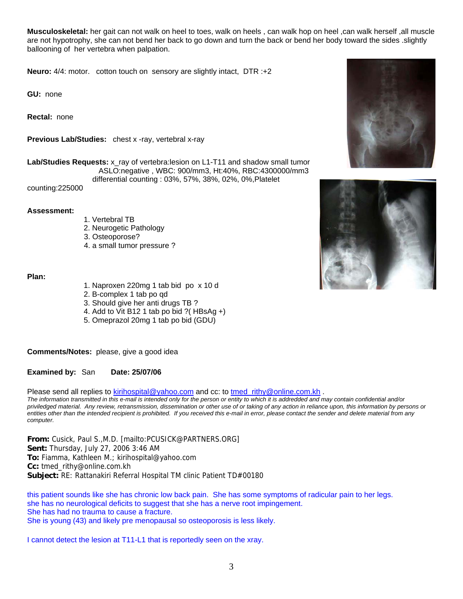**Musculoskeletal:** her gait can not walk on heel to toes, walk on heels , can walk hop on heel ,can walk herself ,all muscle are not hypotrophy, she can not bend her back to go down and turn the back or bend her body toward the sides .slightly ballooning of her vertebra when palpation.

**Neuro:** 4/4: motor. cotton touch on sensory are slightly intact, DTR :+2

**GU:** none

**Rectal:** none

**Previous Lab/Studies:** chest x -ray, vertebral x-ray

**Lab/Studies Requests:** x\_ray of vertebra:lesion on L1-T11 and shadow small tumor ASLO:negative , WBC: 900/mm3, Ht:40%, RBC:4300000/mm3 differential counting : 03%, 57%, 38%, 02%, 0%,Platelet

counting:225000

#### **Assessment:**

- 1. Vertebral TB
- 2. Neurogetic Pathology
- 3. Osteoporose?
- 4. a small tumor pressure ?

#### **Plan:**

- 1. Naproxen 220mg 1 tab bid po x 10 d
- 2. B-complex 1 tab po qd
- 3. Should give her anti drugs TB ?
- 4. Add to Vit B12 1 tab po bid ?( HBsAg +)
- 5. Omeprazol 20mg 1 tab po bid (GDU)

**Comments/Notes:** please, give a good idea

**Examined by:** San **Date: 25/07/06**

Please send all replies to [kirihospital@yahoo.com](mailto:kirihospital@yahoo.com) and cc: to tmed rithy@online.com.kh .

*The information transmitted in this e-mail is intended only for the person or entity to which it is addredded and may contain confidential and/or priviledged material. Any review, retransmission, dissemination or other use of or taking of any action in reliance upon, this information by persons or entities other than the intended recipient is prohibited. If you received this e-mail in error, please contact the sender and delete material from any computer.*

**From:** Cusick, Paul S.,M.D. [mailto:PCUSICK@PARTNERS.ORG] **Sent:** Thursday, July 27, 2006 3:46 AM **To:** Fiamma, Kathleen M.; kirihospital@yahoo.com **Cc:** tmed\_rithy@online.com.kh **Subject:** RE: Rattanakiri Referral Hospital TM clinic Patient TD#00180

this patient sounds like she has chronic low back pain. She has some symptoms of radicular pain to her legs. she has no neurological deficits to suggest that she has a nerve root impingement. She has had no trauma to cause a fracture. She is young (43) and likely pre menopausal so osteoporosis is less likely.

I cannot detect the lesion at T11-L1 that is reportedly seen on the xray.



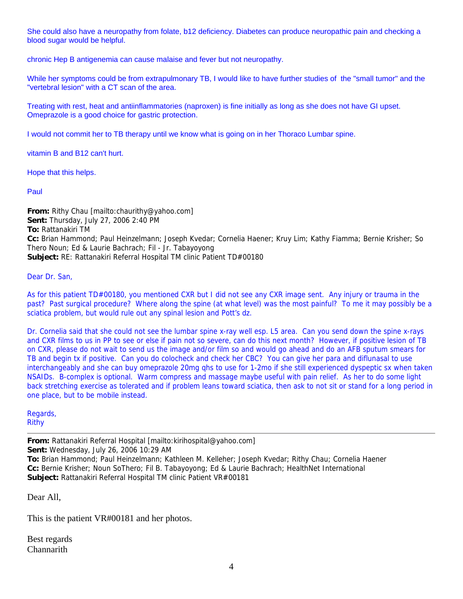She could also have a neuropathy from folate, b12 deficiency. Diabetes can produce neuropathic pain and checking a blood sugar would be helpful.

chronic Hep B antigenemia can cause malaise and fever but not neuropathy.

While her symptoms could be from extrapulmonary TB, I would like to have further studies of the "small tumor" and the "vertebral lesion" with a CT scan of the area.

Treating with rest, heat and antiinflammatories (naproxen) is fine initially as long as she does not have GI upset. Omeprazole is a good choice for gastric protection.

I would not commit her to TB therapy until we know what is going on in her Thoraco Lumbar spine.

vitamin B and B12 can't hurt.

Hope that this helps.

Paul

**From:** Rithy Chau [mailto:chaurithy@yahoo.com] **Sent:** Thursday, July 27, 2006 2:40 PM **To:** Rattanakiri TM **Cc:** Brian Hammond; Paul Heinzelmann; Joseph Kvedar; Cornelia Haener; Kruy Lim; Kathy Fiamma; Bernie Krisher; So Thero Noun; Ed & Laurie Bachrach; Fil - Jr. Tabayoyong **Subject:** RE: Rattanakiri Referral Hospital TM clinic Patient TD#00180

Dear Dr. San,

As for this patient TD#00180, you mentioned CXR but I did not see any CXR image sent. Any injury or trauma in the past? Past surgical procedure? Where along the spine (at what level) was the most painful? To me it may possibly be a sciatica problem, but would rule out any spinal lesion and Pott's dz.

Dr. Cornelia said that she could not see the lumbar spine x-ray well esp. L5 area. Can you send down the spine x-rays and CXR films to us in PP to see or else if pain not so severe, can do this next month? However, if positive lesion of TB on CXR, please do not wait to send us the image and/or film so and would go ahead and do an AFB sputum smears for TB and begin tx if positive. Can you do colocheck and check her CBC? You can give her para and diflunasal to use interchangeably and she can buy omeprazole 20mg qhs to use for 1-2mo if she still experienced dyspeptic sx when taken NSAIDs. B-complex is optional. Warm compress and massage maybe useful with pain relief. As her to do some light back stretching exercise as tolerated and if problem leans toward sciatica, then ask to not sit or stand for a long period in one place, but to be mobile instead.

Regards, Rithy

**From:** Rattanakiri Referral Hospital [mailto:kirihospital@yahoo.com] **Sent:** Wednesday, July 26, 2006 10:29 AM **To:** Brian Hammond; Paul Heinzelmann; Kathleen M. Kelleher; Joseph Kvedar; Rithy Chau; Cornelia Haener **Cc:** Bernie Krisher; Noun SoThero; Fil B. Tabayoyong; Ed & Laurie Bachrach; HealthNet International **Subject:** Rattanakiri Referral Hospital TM clinic Patient VR#00181

Dear All,

This is the patient VR#00181 and her photos.

Best regards **Channarith**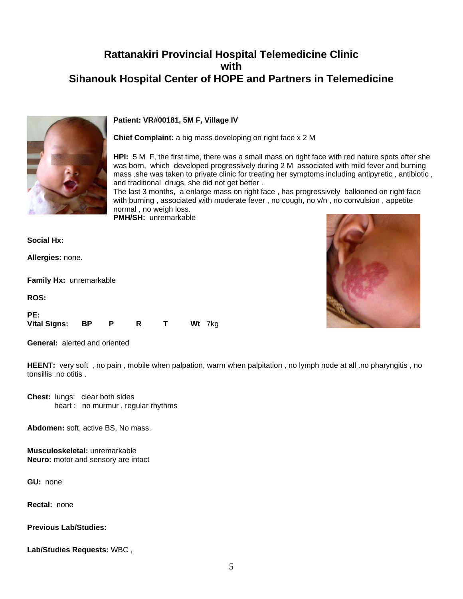## **Rattanakiri Provincial Hospital Telemedicine Clinic with Sihanouk Hospital Center of HOPE and Partners in Telemedicine**



#### **Patient: VR#00181, 5M F, Village IV**

**Chief Complaint:** a big mass developing on right face x 2 M

**HPI:** 5 M F, the first time, there was a small mass on right face with red nature spots after she was born, which developed progressively during 2 M associated with mild fever and burning mass ,she was taken to private clinic for treating her symptoms including antipyretic , antibiotic , and traditional drugs, she did not get better .

The last 3 months, a enlarge mass on right face , has progressively ballooned on right face with burning, associated with moderate fever, no cough, no v/n, no convulsion, appetite normal , no weigh loss.

**PMH/SH:** unremarkable

**Social Hx:**

**Allergies:** none.

**Family Hx:** unremarkable

**ROS:**

| PE:             |  |  |        |
|-----------------|--|--|--------|
| Vital Signs: BP |  |  | Wt 7kg |

**General:** alerted and oriented

**HEENT:** very soft , no pain , mobile when palpation, warm when palpitation , no lymph node at all .no pharyngitis , no tonsillis .no otitis .

**Chest:** lungs: clear both sides heart : no murmur , regular rhythms

**Abdomen:** soft, active BS, No mass.

**Musculoskeletal:** unremarkable **Neuro:** motor and sensory are intact

**GU:** none

**Rectal:** none

**Previous Lab/Studies:** 

**Lab/Studies Requests:** WBC ,

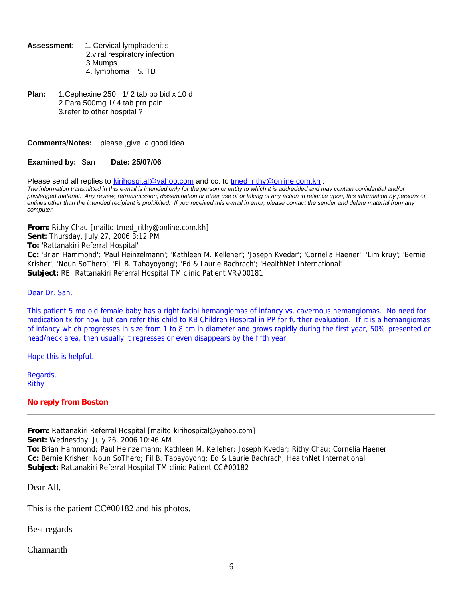**Assessment:** 1. Cervical lymphadenitis 2.viral respiratory infection 3.Mumps 4. lymphoma 5. TB

**Plan:** 1.Cephexine 250 1/ 2 tab po bid x 10 d 2.Para 500mg 1/ 4 tab prn pain 3.refer to other hospital ?

#### **Comments/Notes:** please ,give a good idea

#### **Examined by:** San **Date: 25/07/06**

Please send all replies to [kirihospital@yahoo.com](mailto:kirihospital@yahoo.com) and cc: to tmed rithy@online.com.kh .

*The information transmitted in this e-mail is intended only for the person or entity to which it is addredded and may contain confidential and/or priviledged material. Any review, retransmission, dissemination or other use of or taking of any action in reliance upon, this information by persons or entities other than the intended recipient is prohibited. If you received this e-mail in error, please contact the sender and delete material from any computer.*

**From:** Rithy Chau [mailto:tmed\_rithy@online.com.kh] **Sent:** Thursday, July 27, 2006 3:12 PM

**To:** 'Rattanakiri Referral Hospital'

**Cc:** 'Brian Hammond'; 'Paul Heinzelmann'; 'Kathleen M. Kelleher'; 'Joseph Kvedar'; 'Cornelia Haener'; 'Lim kruy'; 'Bernie Krisher'; 'Noun SoThero'; 'Fil B. Tabayoyong'; 'Ed & Laurie Bachrach'; 'HealthNet International' **Subject:** RE: Rattanakiri Referral Hospital TM clinic Patient VR#00181

Dear Dr. San,

This patient 5 mo old female baby has a right facial hemangiomas of infancy vs. cavernous hemangiomas. No need for medication tx for now but can refer this child to KB Children Hospital in PP for further evaluation. If it is a hemangiomas of infancy which progresses in size from 1 to 8 cm in diameter and grows rapidly during the first year, 50% presented on head/neck area, then usually it regresses or even disappears by the fifth year.

Hope this is helpful.

Regards, Rithy

#### **No reply from Boston**

**From:** Rattanakiri Referral Hospital [mailto:kirihospital@yahoo.com]

**Sent:** Wednesday, July 26, 2006 10:46 AM

**To:** Brian Hammond; Paul Heinzelmann; Kathleen M. Kelleher; Joseph Kvedar; Rithy Chau; Cornelia Haener **Cc:** Bernie Krisher; Noun SoThero; Fil B. Tabayoyong; Ed & Laurie Bachrach; HealthNet International **Subject:** Rattanakiri Referral Hospital TM clinic Patient CC#00182

Dear All,

This is the patient CC#00182 and his photos.

Best regards

**Channarith**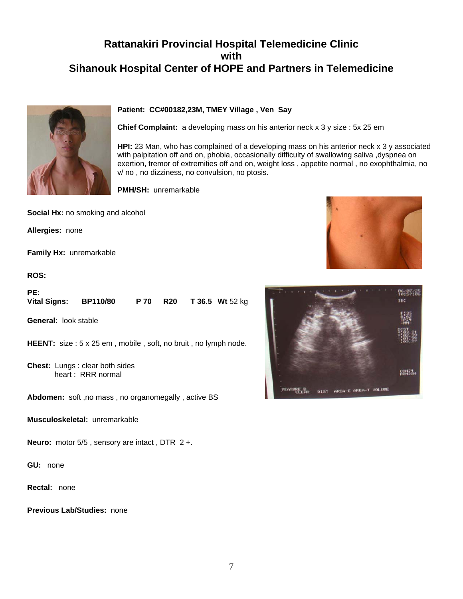## **Rattanakiri Provincial Hospital Telemedicine Clinic with Sihanouk Hospital Center of HOPE and Partners in Telemedicine**



#### **Patient: CC#00182,23M, TMEY Village , Ven Say**

**Chief Complaint:** a developing mass on his anterior neck x 3 y size : 5x 25 em

**HPI:** 23 Man, who has complained of a developing mass on his anterior neck x 3 y associated with palpitation off and on, phobia, occasionally difficulty of swallowing saliva ,dyspnea on exertion, tremor of extremities off and on, weight loss , appetite normal , no exophthalmia, no v/ no , no dizziness, no convulsion, no ptosis.

**PMH/SH:** unremarkable

**Social Hx:** no smoking and alcohol

**Allergies:** none

**Family Hx:** unremarkable

**ROS:**

| PE:                 |                 |  |                                 |
|---------------------|-----------------|--|---------------------------------|
| <b>Vital Signs:</b> | <b>BP110/80</b> |  | <b>P 70 R20 T 36.5 Wt 52 kg</b> |

**General:** look stable

**HEENT:** size: 5 x 25 em, mobile, soft, no bruit, no lymph node.

**Chest:** Lungs : clear both sides heart : RRR normal

**Abdomen:** soft ,no mass , no organomegally , active BS

**Musculoskeletal:** unremarkable

**Neuro:** motor 5/5 , sensory are intact , DTR 2 +.

**GU:** none

**Rectal:** none

**Previous Lab/Studies:** none



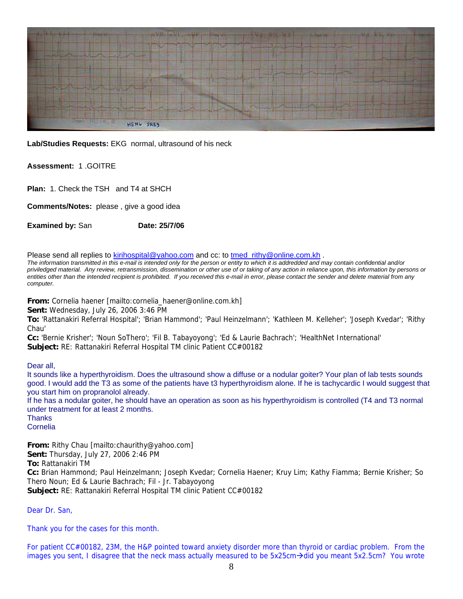

**Lab/Studies Requests:** EKG normal, ultrasound of his neck

#### **Assessment:** 1 .GOITRE

**Plan:** 1. Check the TSH and T4 at SHCH

**Comments/Notes:** please , give a good idea

**Examined by: San <b>Date: 25/7/06** 

Please send all replies to [kirihospital@yahoo.com](mailto:kirihospital@yahoo.com) and cc: to tmed rithy@online.com.kh .

*The information transmitted in this e-mail is intended only for the person or entity to which it is addredded and may contain confidential and/or priviledged material. Any review, retransmission, dissemination or other use of or taking of any action in reliance upon, this information by persons or entities other than the intended recipient is prohibited. If you received this e-mail in error, please contact the sender and delete material from any computer.*

**From:** Cornelia haener [mailto:cornelia\_haener@online.com.kh]

**Sent:** Wednesday, July 26, 2006 3:46 PM

**To:** 'Rattanakiri Referral Hospital'; 'Brian Hammond'; 'Paul Heinzelmann'; 'Kathleen M. Kelleher'; 'Joseph Kvedar'; 'Rithy Chau'

**Cc:** 'Bernie Krisher'; 'Noun SoThero'; 'Fil B. Tabayoyong'; 'Ed & Laurie Bachrach'; 'HealthNet International' **Subject:** RE: Rattanakiri Referral Hospital TM clinic Patient CC#00182

Dear all,

It sounds like a hyperthyroidism. Does the ultrasound show a diffuse or a nodular goiter? Your plan of lab tests sounds good. I would add the T3 as some of the patients have t3 hyperthyroidism alone. If he is tachycardic I would suggest that you start him on propranolol already. If he has a nodular goiter, he should have an operation as soon as his hyperthyroidism is controlled (T4 and T3 normal under treatment for at least 2 months.

**Thanks** Cornelia

**From:** Rithy Chau [mailto:chaurithy@yahoo.com] **Sent:** Thursday, July 27, 2006 2:46 PM **To:** Rattanakiri TM **Cc:** Brian Hammond; Paul Heinzelmann; Joseph Kvedar; Cornelia Haener; Kruy Lim; Kathy Fiamma; Bernie Krisher; So Thero Noun; Ed & Laurie Bachrach; Fil - Jr. Tabayoyong **Subject:** RE: Rattanakiri Referral Hospital TM clinic Patient CC#00182

Dear Dr. San,

Thank you for the cases for this month.

For patient CC#00182, 23M, the H&P pointed toward anxiety disorder more than thyroid or cardiac problem. From the images you sent, I disagree that the neck mass actually measured to be  $5x25cm\rightarrow$ did you meant  $5x2.5cm$ ? You wrote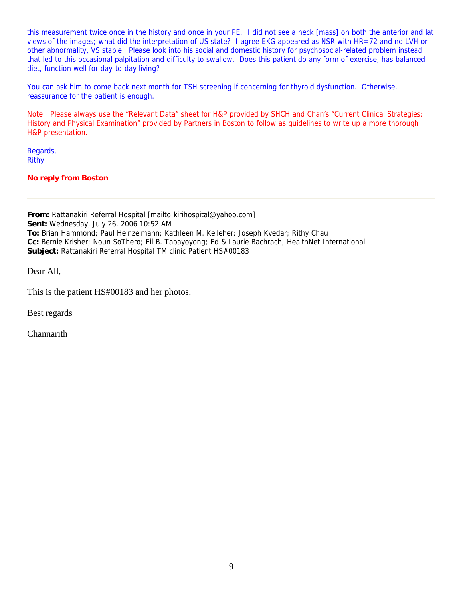this measurement twice once in the history and once in your PE. I did not see a neck [mass] on both the anterior and lat views of the images; what did the interpretation of US state? I agree EKG appeared as NSR with HR=72 and no LVH or other abnormality, VS stable. Please look into his social and domestic history for psychosocial-related problem instead that led to this occasional palpitation and difficulty to swallow. Does this patient do any form of exercise, has balanced diet, function well for day-to-day living?

You can ask him to come back next month for TSH screening if concerning for thyroid dysfunction. Otherwise, reassurance for the patient is enough.

Note: Please always use the "Relevant Data" sheet for H&P provided by SHCH and Chan's "Current Clinical Strategies: History and Physical Examination" provided by Partners in Boston to follow as guidelines to write up a more thorough H&P presentation.

Regards, Rithy

**No reply from Boston** 

**From:** Rattanakiri Referral Hospital [mailto:kirihospital@yahoo.com] **Sent:** Wednesday, July 26, 2006 10:52 AM **To:** Brian Hammond; Paul Heinzelmann; Kathleen M. Kelleher; Joseph Kvedar; Rithy Chau **Cc:** Bernie Krisher; Noun SoThero; Fil B. Tabayoyong; Ed & Laurie Bachrach; HealthNet International **Subject:** Rattanakiri Referral Hospital TM clinic Patient HS#00183

Dear All,

This is the patient HS#00183 and her photos.

Best regards

Channarith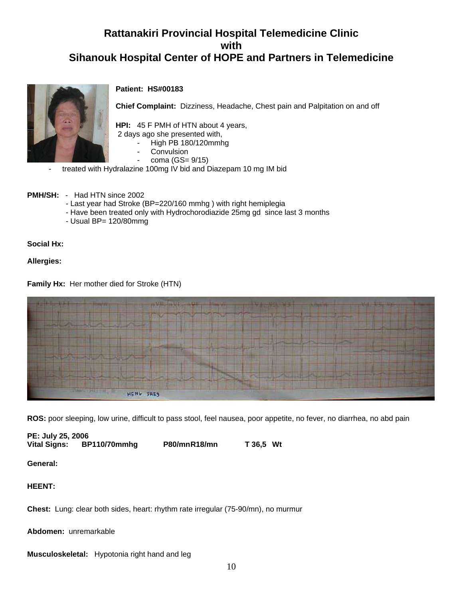## **Rattanakiri Provincial Hospital Telemedicine Clinic with Sihanouk Hospital Center of HOPE and Partners in Telemedicine**



#### **Patient: HS#00183**

**Chief Complaint:** Dizziness, Headache, Chest pain and Palpitation on and off

**HPI:** 45 F PMH of HTN about 4 years,

- 2 days ago she presented with,
	- High PB 180/120mmhg
		- **Convulsion**
		- coma (GS= 9/15)
- treated with Hydralazine 100mg IV bid and Diazepam 10 mg IM bid
- **PMH/SH:** Had HTN since 2002
	- Last year had Stroke (BP=220/160 mmhg ) with right hemiplegia
	- Have been treated only with Hydrochorodiazide 25mg gd since last 3 months
	- Usual BP= 120/80mmg

**Social Hx:**

**Allergies:**

**Family Hx:** Her mother died for Stroke (HTN)



**ROS:** poor sleeping, low urine, difficult to pass stool, feel nausea, poor appetite, no fever, no diarrhea, no abd pain

**PE: July 25, 2006 Vital Signs: BP110/70mmhg P80/mnR18/mn T 36,5 Wt**

**General:**

#### **HEENT:**

**Chest:** Lung: clear both sides, heart: rhythm rate irregular (75-90/mn), no murmur

**Abdomen:** unremarkable

**Musculoskeletal:** Hypotonia right hand and leg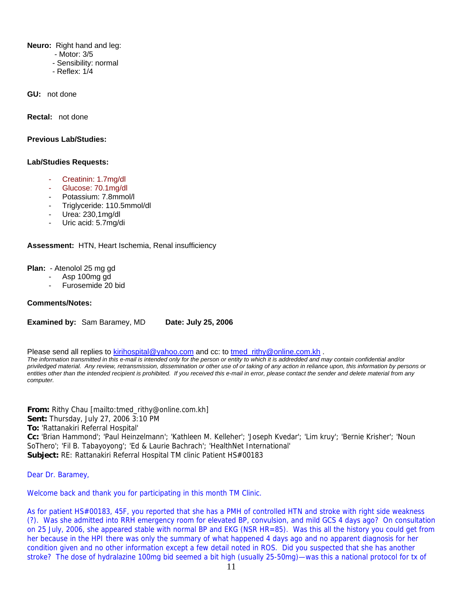**Neuro:** Right hand and leg:

- Motor: 3/5
- Sensibility: normal
- Reflex: 1/4

**GU:** not done

**Rectal:** not done

#### **Previous Lab/Studies:**

#### **Lab/Studies Requests:**

- Creatinin: 1.7mg/dl
- Glucose: 70.1mg/dl
- Potassium: 7.8mmol/l
- Triglyceride: 110.5mmol/dl
- Urea: 230,1mg/dl
- Uric acid: 5.7mg/di

**Assessment:** HTN, Heart Ischemia, Renal insufficiency

**Plan:** - Atenolol 25 mg gd

- Asp 100mg gd
- Furosemide 20 bid

#### **Comments/Notes:**

**Examined by:** Sam Baramey, MD **Date: July 25, 2006**

Please send all replies to [kirihospital@yahoo.com](mailto:kirihospital@yahoo.com) and cc: to [tmed\\_rithy@online.com.kh](mailto:tmed_rithy@bigpond.com.kh) . *The information transmitted in this e-mail is intended only for the person or entity to which it is addredded and may contain confidential and/or priviledged material. Any review, retransmission, dissemination or other use of or taking of any action in reliance upon, this information by persons or entities other than the intended recipient is prohibited. If you received this e-mail in error, please contact the sender and delete material from any computer.*

**From:** Rithy Chau [mailto:tmed\_rithy@online.com.kh] **Sent:** Thursday, July 27, 2006 3:10 PM **To:** 'Rattanakiri Referral Hospital' **Cc:** 'Brian Hammond'; 'Paul Heinzelmann'; 'Kathleen M. Kelleher'; 'Joseph Kvedar'; 'Lim kruy'; 'Bernie Krisher'; 'Noun SoThero'; 'Fil B. Tabayoyong'; 'Ed & Laurie Bachrach'; 'HealthNet International' **Subject:** RE: Rattanakiri Referral Hospital TM clinic Patient HS#00183

Dear Dr. Baramey,

Welcome back and thank you for participating in this month TM Clinic.

As for patient HS#00183, 45F, you reported that she has a PMH of controlled HTN and stroke with right side weakness (?). Was she admitted into RRH emergency room for elevated BP, convulsion, and mild GCS 4 days ago? On consultation on 25 July, 2006, she appeared stable with normal BP and EKG (NSR HR=85). Was this all the history you could get from her because in the HPI there was only the summary of what happened 4 days ago and no apparent diagnosis for her condition given and no other information except a few detail noted in ROS. Did you suspected that she has another stroke? The dose of hydralazine 100mg bid seemed a bit high (usually 25-50mg)—was this a national protocol for tx of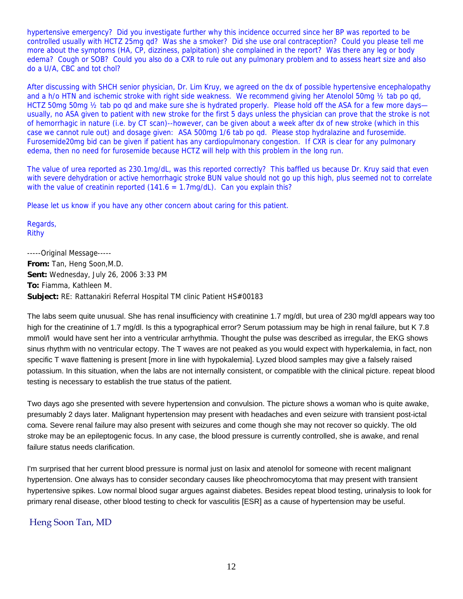hypertensive emergency? Did you investigate further why this incidence occurred since her BP was reported to be controlled usually with HCTZ 25mg qd? Was she a smoker? Did she use oral contraception? Could you please tell me more about the symptoms (HA, CP, dizziness, palpitation) she complained in the report? Was there any leg or body edema? Cough or SOB? Could you also do a CXR to rule out any pulmonary problem and to assess heart size and also do a U/A, CBC and tot chol?

After discussing with SHCH senior physician, Dr. Lim Kruy, we agreed on the dx of possible hypertensive encephalopathy and a h/o HTN and ischemic stroke with right side weakness. We recommend giving her Atenolol 50mg ½ tab po qd, HCTZ 50mg 50mg 1/2 tab po gd and make sure she is hydrated properly. Please hold off the ASA for a few more days usually, no ASA given to patient with new stroke for the first 5 days unless the physician can prove that the stroke is not of hemorrhagic in nature (i.e. by CT scan)--however, can be given about a week after dx of new stroke (which in this case we cannot rule out) and dosage given: ASA 500mg 1/6 tab po qd. Please stop hydralazine and furosemide. Furosemide20mg bid can be given if patient has any cardiopulmonary congestion. If CXR is clear for any pulmonary edema, then no need for furosemide because HCTZ will help with this problem in the long run.

The value of urea reported as 230.1mg/dL, was this reported correctly? This baffled us because Dr. Kruy said that even with severe dehydration or active hemorrhagic stroke BUN value should not go up this high, plus seemed not to correlate with the value of creatinin reported (141.6 = 1.7mg/dL). Can you explain this?

Please let us know if you have any other concern about caring for this patient.

Regards, Rithy

-----Original Message----- **From:** Tan, Heng Soon,M.D. **Sent:** Wednesday, July 26, 2006 3:33 PM **To:** Fiamma, Kathleen M. **Subject:** RE: Rattanakiri Referral Hospital TM clinic Patient HS#00183

The labs seem quite unusual. She has renal insufficiency with creatinine 1.7 mg/dl, but urea of 230 mg/dl appears way too high for the creatinine of 1.7 mg/dl. Is this a typographical error? Serum potassium may be high in renal failure, but K 7.8 mmol/l would have sent her into a ventricular arrhythmia. Thought the pulse was described as irregular, the EKG shows sinus rhythm with no ventricular ectopy. The T waves are not peaked as you would expect with hyperkalemia, in fact, non specific T wave flattening is present [more in line with hypokalemia]. Lyzed blood samples may give a falsely raised potassium. In this situation, when the labs are not internally consistent, or compatible with the clinical picture. repeat blood testing is necessary to establish the true status of the patient.

Two days ago she presented with severe hypertension and convulsion. The picture shows a woman who is quite awake, presumably 2 days later. Malignant hypertension may present with headaches and even seizure with transient post-ictal coma. Severe renal failure may also present with seizures and come though she may not recover so quickly. The old stroke may be an epileptogenic focus. In any case, the blood pressure is currently controlled, she is awake, and renal failure status needs clarification.

I'm surprised that her current blood pressure is normal just on lasix and atenolol for someone with recent malignant hypertension. One always has to consider secondary causes like pheochromocytoma that may present with transient hypertensive spikes. Low normal blood sugar argues against diabetes. Besides repeat blood testing, urinalysis to look for primary renal disease, other blood testing to check for vasculitis [ESR] as a cause of hypertension may be useful.

### Heng Soon Tan, MD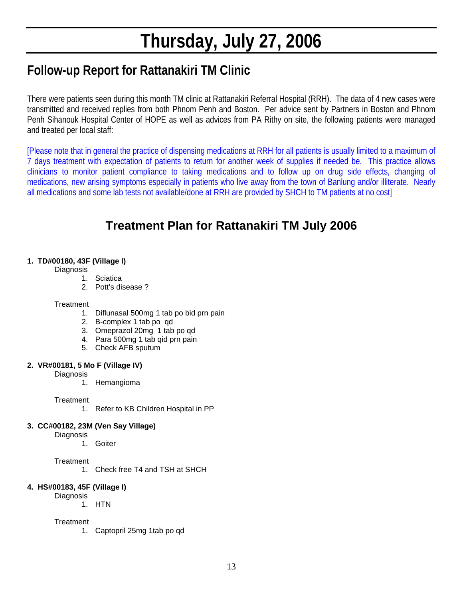# **Thursday, July 27, 2006**

# **Follow-up Report for Rattanakiri TM Clinic**

There were patients seen during this month TM clinic at Rattanakiri Referral Hospital (RRH). The data of 4 new cases were transmitted and received replies from both Phnom Penh and Boston. Per advice sent by Partners in Boston and Phnom Penh Sihanouk Hospital Center of HOPE as well as advices from PA Rithy on site, the following patients were managed and treated per local staff:

[Please note that in general the practice of dispensing medications at RRH for all patients is usually limited to a maximum of 7 days treatment with expectation of patients to return for another week of supplies if needed be. This practice allows clinicians to monitor patient compliance to taking medications and to follow up on drug side effects, changing of medications, new arising symptoms especially in patients who live away from the town of Banlung and/or illiterate. Nearly all medications and some lab tests not available/done at RRH are provided by SHCH to TM patients at no cost]

## **Treatment Plan for Rattanakiri TM July 2006**

#### **1. TD#00180, 43F (Village I)**

**Diagnosis** 

- 1. Sciatica
- 2. Pott's disease ?

#### **Treatment**

- 1. Diflunasal 500mg 1 tab po bid prn pain
- 2. B-complex 1 tab po qd
- 3. Omeprazol 20mg 1 tab po qd
- 4. Para 500mg 1 tab qid prn pain
- 5. Check AFB sputum

#### **2. VR#00181, 5 Mo F (Village IV)**

- **Diagnosis** 
	- 1. Hemangioma

**Treatment** 

1. Refer to KB Children Hospital in PP

#### **3. CC#00182, 23M (Ven Say Village)**

**Diagnosis** 

1. Goiter

#### **Treatment**

1. Check free T4 and TSH at SHCH

#### **4. HS#00183, 45F (Village I)**

**Diagnosis** 

1. HTN

#### **Treatment**

1. Captopril 25mg 1tab po qd